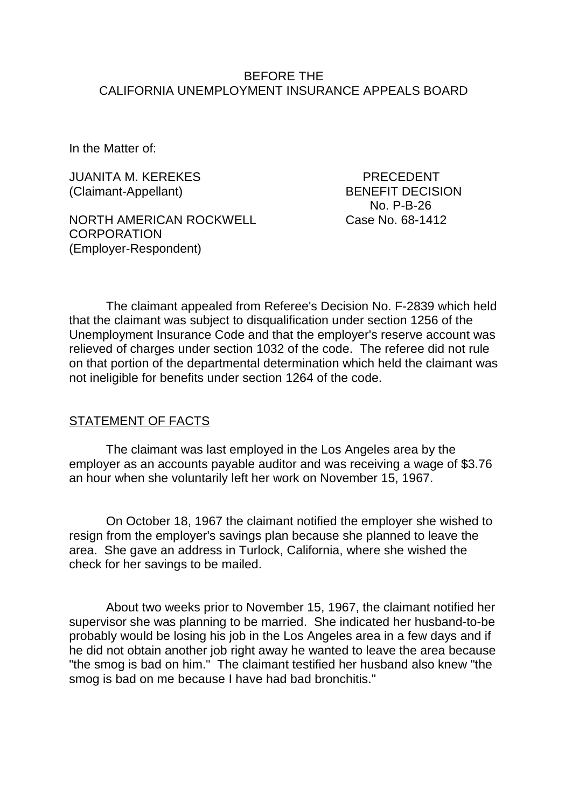## BEFORE THE CALIFORNIA UNEMPLOYMENT INSURANCE APPEALS BOARD

In the Matter of:

JUANITA M. KEREKES PRECEDENT (Claimant-Appellant) BENEFIT DECISION

NORTH AMERICAN ROCKWELL Case No. 68-1412 **CORPORATION** (Employer-Respondent)

No. P-B-26

The claimant appealed from Referee's Decision No. F-2839 which held that the claimant was subject to disqualification under section 1256 of the Unemployment Insurance Code and that the employer's reserve account was relieved of charges under section 1032 of the code. The referee did not rule on that portion of the departmental determination which held the claimant was not ineligible for benefits under section 1264 of the code.

### STATEMENT OF FACTS

The claimant was last employed in the Los Angeles area by the employer as an accounts payable auditor and was receiving a wage of \$3.76 an hour when she voluntarily left her work on November 15, 1967.

On October 18, 1967 the claimant notified the employer she wished to resign from the employer's savings plan because she planned to leave the area. She gave an address in Turlock, California, where she wished the check for her savings to be mailed.

About two weeks prior to November 15, 1967, the claimant notified her supervisor she was planning to be married. She indicated her husband-to-be probably would be losing his job in the Los Angeles area in a few days and if he did not obtain another job right away he wanted to leave the area because "the smog is bad on him." The claimant testified her husband also knew "the smog is bad on me because I have had bad bronchitis."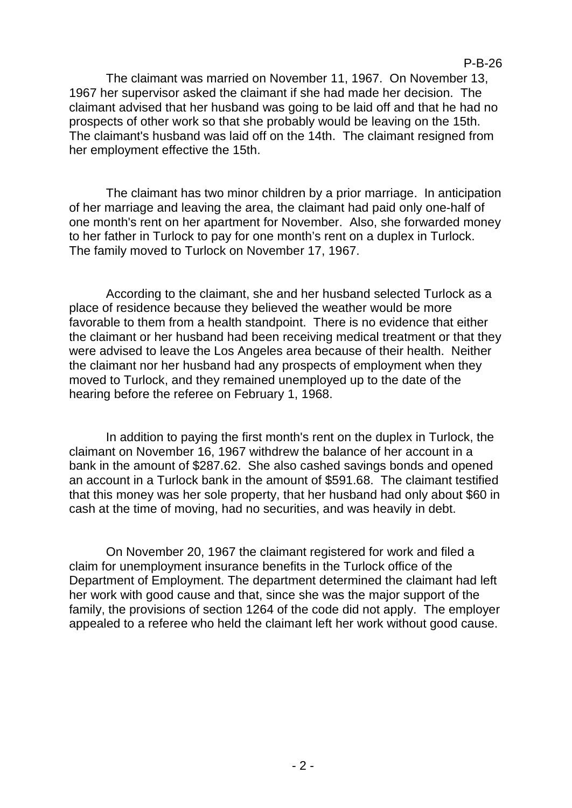P-B-26

The claimant was married on November 11, 1967. On November 13, 1967 her supervisor asked the claimant if she had made her decision. The claimant advised that her husband was going to be laid off and that he had no prospects of other work so that she probably would be leaving on the 15th. The claimant's husband was laid off on the 14th. The claimant resigned from her employment effective the 15th.

The claimant has two minor children by a prior marriage. In anticipation of her marriage and leaving the area, the claimant had paid only one-half of one month's rent on her apartment for November. Also, she forwarded money to her father in Turlock to pay for one month's rent on a duplex in Turlock. The family moved to Turlock on November 17, 1967.

According to the claimant, she and her husband selected Turlock as a place of residence because they believed the weather would be more favorable to them from a health standpoint. There is no evidence that either the claimant or her husband had been receiving medical treatment or that they were advised to leave the Los Angeles area because of their health. Neither the claimant nor her husband had any prospects of employment when they moved to Turlock, and they remained unemployed up to the date of the hearing before the referee on February 1, 1968.

In addition to paying the first month's rent on the duplex in Turlock, the claimant on November 16, 1967 withdrew the balance of her account in a bank in the amount of \$287.62. She also cashed savings bonds and opened an account in a Turlock bank in the amount of \$591.68. The claimant testified that this money was her sole property, that her husband had only about \$60 in cash at the time of moving, had no securities, and was heavily in debt.

On November 20, 1967 the claimant registered for work and filed a claim for unemployment insurance benefits in the Turlock office of the Department of Employment. The department determined the claimant had left her work with good cause and that, since she was the major support of the family, the provisions of section 1264 of the code did not apply. The employer appealed to a referee who held the claimant left her work without good cause.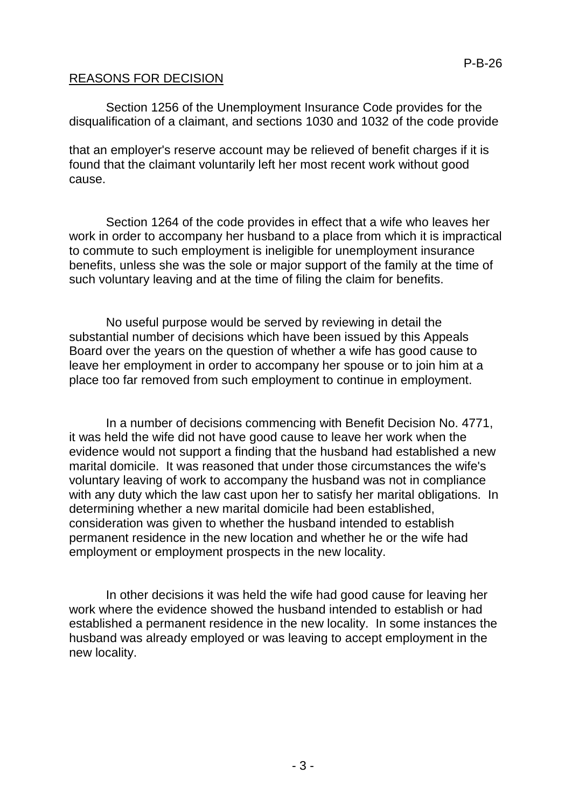# REASONS FOR DECISION

Section 1256 of the Unemployment Insurance Code provides for the disqualification of a claimant, and sections 1030 and 1032 of the code provide

that an employer's reserve account may be relieved of benefit charges if it is found that the claimant voluntarily left her most recent work without good cause.

Section 1264 of the code provides in effect that a wife who leaves her work in order to accompany her husband to a place from which it is impractical to commute to such employment is ineligible for unemployment insurance benefits, unless she was the sole or major support of the family at the time of such voluntary leaving and at the time of filing the claim for benefits.

No useful purpose would be served by reviewing in detail the substantial number of decisions which have been issued by this Appeals Board over the years on the question of whether a wife has good cause to leave her employment in order to accompany her spouse or to join him at a place too far removed from such employment to continue in employment.

In a number of decisions commencing with Benefit Decision No. 4771, it was held the wife did not have good cause to leave her work when the evidence would not support a finding that the husband had established a new marital domicile. It was reasoned that under those circumstances the wife's voluntary leaving of work to accompany the husband was not in compliance with any duty which the law cast upon her to satisfy her marital obligations. In determining whether a new marital domicile had been established, consideration was given to whether the husband intended to establish permanent residence in the new location and whether he or the wife had employment or employment prospects in the new locality.

In other decisions it was held the wife had good cause for leaving her work where the evidence showed the husband intended to establish or had established a permanent residence in the new locality. In some instances the husband was already employed or was leaving to accept employment in the new locality.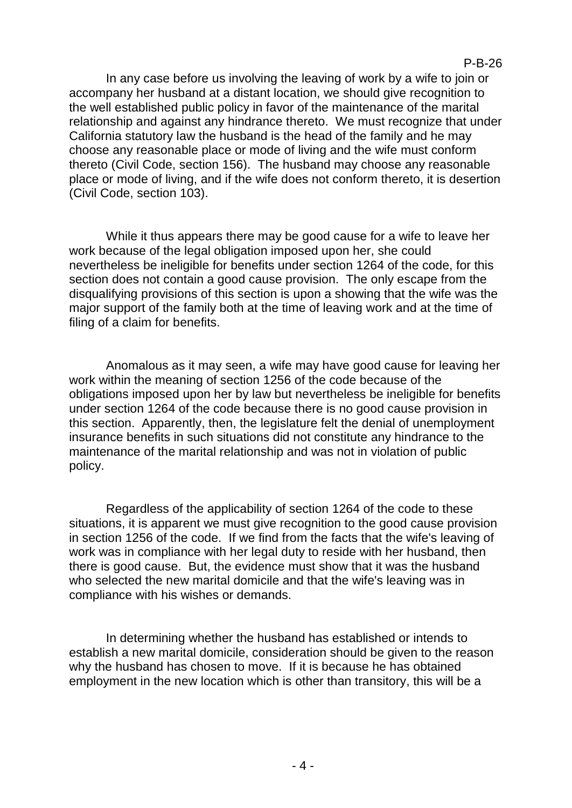P-B-26

In any case before us involving the leaving of work by a wife to join or accompany her husband at a distant location, we should give recognition to the well established public policy in favor of the maintenance of the marital relationship and against any hindrance thereto. We must recognize that under California statutory law the husband is the head of the family and he may choose any reasonable place or mode of living and the wife must conform thereto (Civil Code, section 156). The husband may choose any reasonable place or mode of living, and if the wife does not conform thereto, it is desertion (Civil Code, section 103).

While it thus appears there may be good cause for a wife to leave her work because of the legal obligation imposed upon her, she could nevertheless be ineligible for benefits under section 1264 of the code, for this section does not contain a good cause provision. The only escape from the disqualifying provisions of this section is upon a showing that the wife was the major support of the family both at the time of leaving work and at the time of filing of a claim for benefits.

Anomalous as it may seen, a wife may have good cause for leaving her work within the meaning of section 1256 of the code because of the obligations imposed upon her by law but nevertheless be ineligible for benefits under section 1264 of the code because there is no good cause provision in this section. Apparently, then, the legislature felt the denial of unemployment insurance benefits in such situations did not constitute any hindrance to the maintenance of the marital relationship and was not in violation of public policy.

Regardless of the applicability of section 1264 of the code to these situations, it is apparent we must give recognition to the good cause provision in section 1256 of the code. If we find from the facts that the wife's leaving of work was in compliance with her legal duty to reside with her husband, then there is good cause. But, the evidence must show that it was the husband who selected the new marital domicile and that the wife's leaving was in compliance with his wishes or demands.

In determining whether the husband has established or intends to establish a new marital domicile, consideration should be given to the reason why the husband has chosen to move. If it is because he has obtained employment in the new location which is other than transitory, this will be a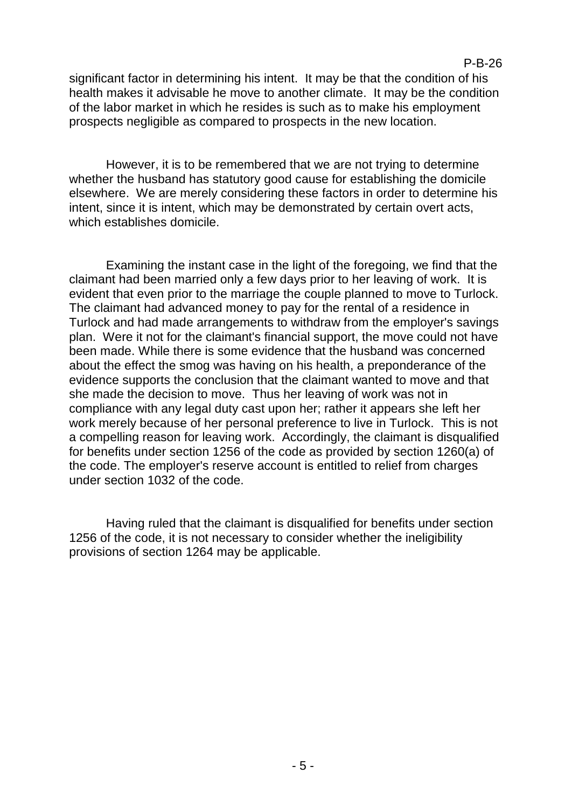## P-B-26

significant factor in determining his intent. It may be that the condition of his health makes it advisable he move to another climate. It may be the condition of the labor market in which he resides is such as to make his employment prospects negligible as compared to prospects in the new location.

However, it is to be remembered that we are not trying to determine whether the husband has statutory good cause for establishing the domicile elsewhere. We are merely considering these factors in order to determine his intent, since it is intent, which may be demonstrated by certain overt acts, which establishes domicile.

Examining the instant case in the light of the foregoing, we find that the claimant had been married only a few days prior to her leaving of work. It is evident that even prior to the marriage the couple planned to move to Turlock. The claimant had advanced money to pay for the rental of a residence in Turlock and had made arrangements to withdraw from the employer's savings plan. Were it not for the claimant's financial support, the move could not have been made. While there is some evidence that the husband was concerned about the effect the smog was having on his health, a preponderance of the evidence supports the conclusion that the claimant wanted to move and that she made the decision to move. Thus her leaving of work was not in compliance with any legal duty cast upon her; rather it appears she left her work merely because of her personal preference to live in Turlock. This is not a compelling reason for leaving work. Accordingly, the claimant is disqualified for benefits under section 1256 of the code as provided by section 1260(a) of the code. The employer's reserve account is entitled to relief from charges under section 1032 of the code.

Having ruled that the claimant is disqualified for benefits under section 1256 of the code, it is not necessary to consider whether the ineligibility provisions of section 1264 may be applicable.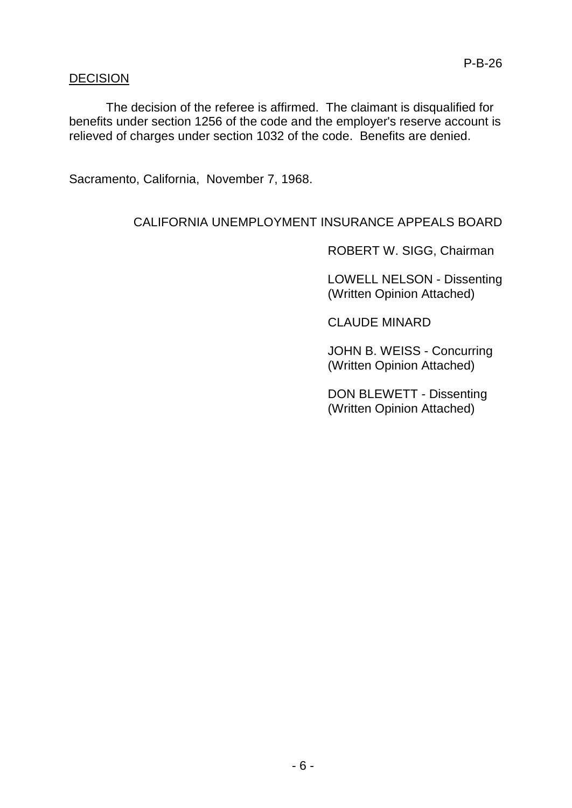## DECISION

The decision of the referee is affirmed. The claimant is disqualified for benefits under section 1256 of the code and the employer's reserve account is relieved of charges under section 1032 of the code. Benefits are denied.

Sacramento, California, November 7, 1968.

# CALIFORNIA UNEMPLOYMENT INSURANCE APPEALS BOARD

ROBERT W. SIGG, Chairman

LOWELL NELSON - Dissenting (Written Opinion Attached)

CLAUDE MINARD

JOHN B. WEISS - Concurring (Written Opinion Attached)

DON BLEWETT - Dissenting (Written Opinion Attached)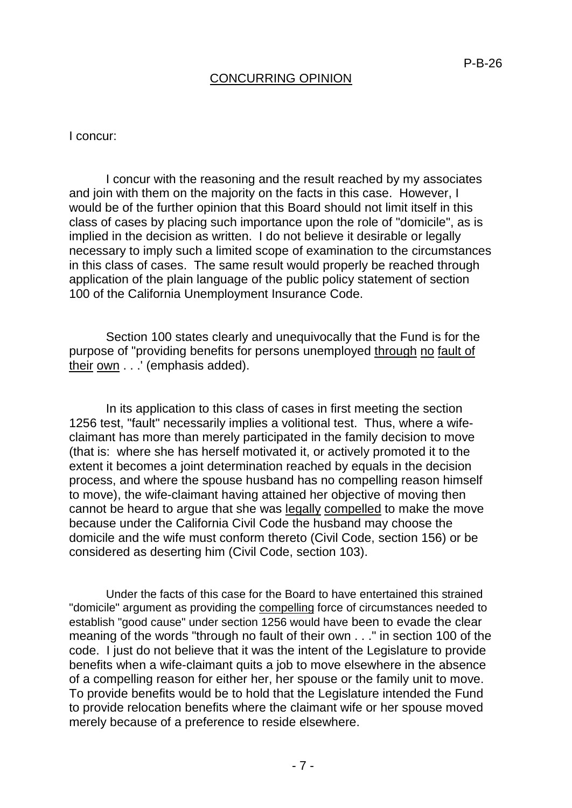## CONCURRING OPINION

#### I concur:

I concur with the reasoning and the result reached by my associates and join with them on the majority on the facts in this case. However, I would be of the further opinion that this Board should not limit itself in this class of cases by placing such importance upon the role of "domicile", as is implied in the decision as written. I do not believe it desirable or legally necessary to imply such a limited scope of examination to the circumstances in this class of cases. The same result would properly be reached through application of the plain language of the public policy statement of section 100 of the California Unemployment Insurance Code.

Section 100 states clearly and unequivocally that the Fund is for the purpose of "providing benefits for persons unemployed through no fault of their own . . .' (emphasis added).

In its application to this class of cases in first meeting the section 1256 test, "fault" necessarily implies a volitional test. Thus, where a wifeclaimant has more than merely participated in the family decision to move (that is: where she has herself motivated it, or actively promoted it to the extent it becomes a joint determination reached by equals in the decision process, and where the spouse husband has no compelling reason himself to move), the wife-claimant having attained her objective of moving then cannot be heard to argue that she was legally compelled to make the move because under the California Civil Code the husband may choose the domicile and the wife must conform thereto (Civil Code, section 156) or be considered as deserting him (Civil Code, section 103).

Under the facts of this case for the Board to have entertained this strained "domicile" argument as providing the compelling force of circumstances needed to establish "good cause" under section 1256 would have been to evade the clear meaning of the words "through no fault of their own . . ." in section 100 of the code. I just do not believe that it was the intent of the Legislature to provide benefits when a wife-claimant quits a job to move elsewhere in the absence of a compelling reason for either her, her spouse or the family unit to move. To provide benefits would be to hold that the Legislature intended the Fund to provide relocation benefits where the claimant wife or her spouse moved merely because of a preference to reside elsewhere.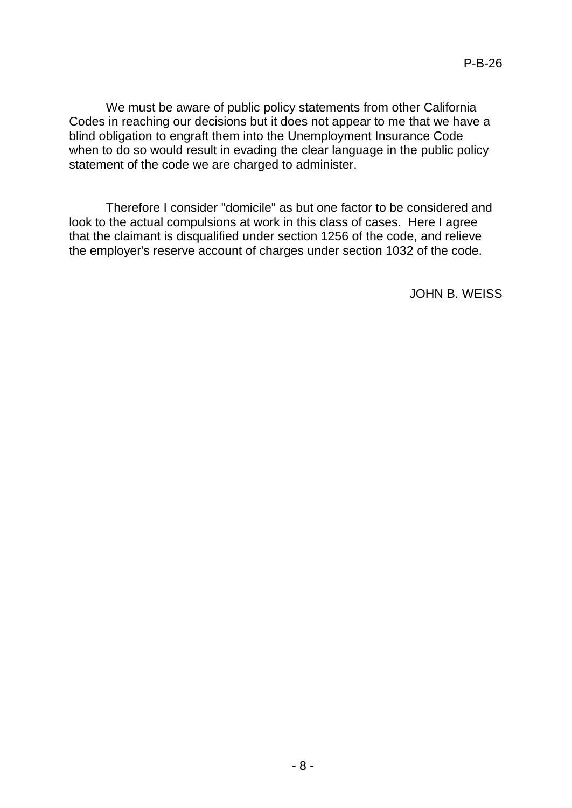We must be aware of public policy statements from other California Codes in reaching our decisions but it does not appear to me that we have a blind obligation to engraft them into the Unemployment Insurance Code when to do so would result in evading the clear language in the public policy statement of the code we are charged to administer.

Therefore I consider "domicile" as but one factor to be considered and look to the actual compulsions at work in this class of cases. Here I agree that the claimant is disqualified under section 1256 of the code, and relieve the employer's reserve account of charges under section 1032 of the code.

JOHN B. WEISS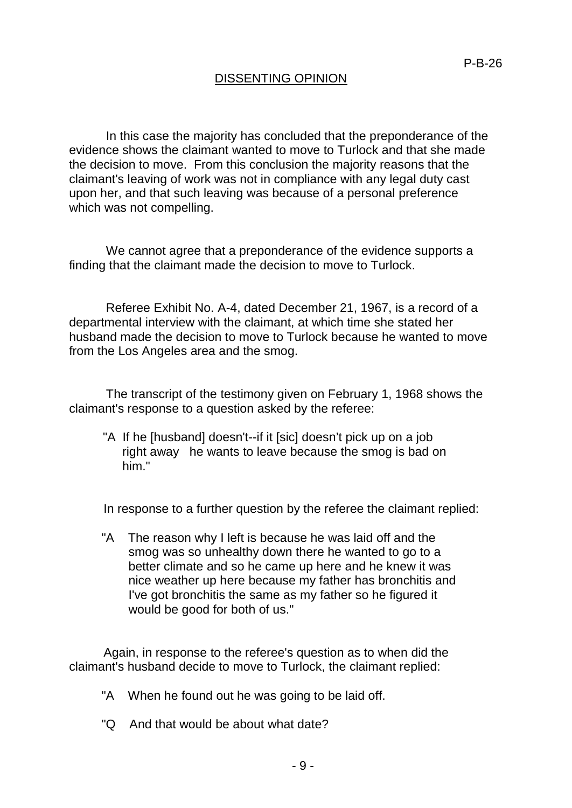# DISSENTING OPINION

In this case the majority has concluded that the preponderance of the evidence shows the claimant wanted to move to Turlock and that she made the decision to move. From this conclusion the majority reasons that the claimant's leaving of work was not in compliance with any legal duty cast upon her, and that such leaving was because of a personal preference which was not compelling.

We cannot agree that a preponderance of the evidence supports a finding that the claimant made the decision to move to Turlock.

Referee Exhibit No. A-4, dated December 21, 1967, is a record of a departmental interview with the claimant, at which time she stated her husband made the decision to move to Turlock because he wanted to move from the Los Angeles area and the smog.

The transcript of the testimony given on February 1, 1968 shows the claimant's response to a question asked by the referee:

"A If he [husband] doesn't--if it [sic] doesn't pick up on a job right away he wants to leave because the smog is bad on him."

In response to a further question by the referee the claimant replied:

"A The reason why I left is because he was laid off and the smog was so unhealthy down there he wanted to go to a better climate and so he came up here and he knew it was nice weather up here because my father has bronchitis and I've got bronchitis the same as my father so he figured it would be good for both of us."

Again, in response to the referee's question as to when did the claimant's husband decide to move to Turlock, the claimant replied:

- "A When he found out he was going to be laid off.
- "Q And that would be about what date?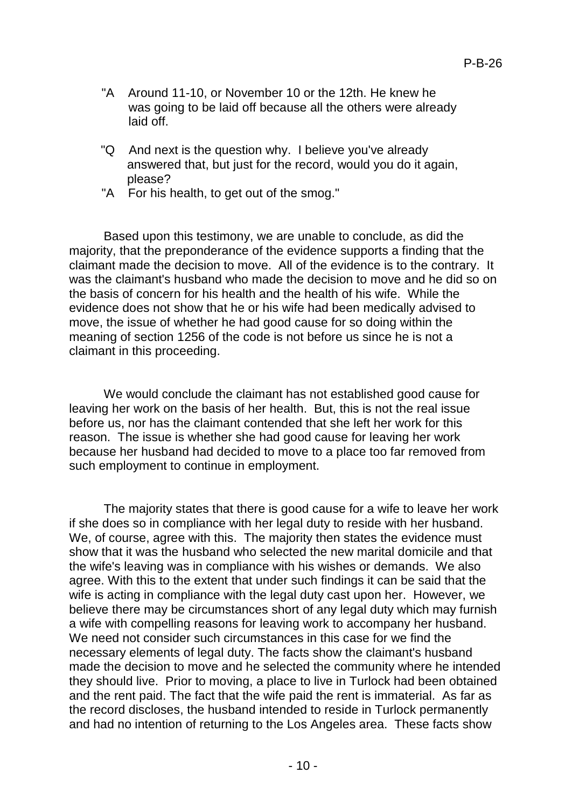- "A Around 11-10, or November 10 or the 12th. He knew he was going to be laid off because all the others were already laid off.
- "Q And next is the question why. I believe you've already answered that, but just for the record, would you do it again, please?
- "A For his health, to get out of the smog."

Based upon this testimony, we are unable to conclude, as did the majority, that the preponderance of the evidence supports a finding that the claimant made the decision to move. All of the evidence is to the contrary. It was the claimant's husband who made the decision to move and he did so on the basis of concern for his health and the health of his wife. While the evidence does not show that he or his wife had been medically advised to move, the issue of whether he had good cause for so doing within the meaning of section 1256 of the code is not before us since he is not a claimant in this proceeding.

We would conclude the claimant has not established good cause for leaving her work on the basis of her health. But, this is not the real issue before us, nor has the claimant contended that she left her work for this reason. The issue is whether she had good cause for leaving her work because her husband had decided to move to a place too far removed from such employment to continue in employment.

The majority states that there is good cause for a wife to leave her work if she does so in compliance with her legal duty to reside with her husband. We, of course, agree with this. The majority then states the evidence must show that it was the husband who selected the new marital domicile and that the wife's leaving was in compliance with his wishes or demands. We also agree. With this to the extent that under such findings it can be said that the wife is acting in compliance with the legal duty cast upon her. However, we believe there may be circumstances short of any legal duty which may furnish a wife with compelling reasons for leaving work to accompany her husband. We need not consider such circumstances in this case for we find the necessary elements of legal duty. The facts show the claimant's husband made the decision to move and he selected the community where he intended they should live. Prior to moving, a place to live in Turlock had been obtained and the rent paid. The fact that the wife paid the rent is immaterial. As far as the record discloses, the husband intended to reside in Turlock permanently and had no intention of returning to the Los Angeles area. These facts show